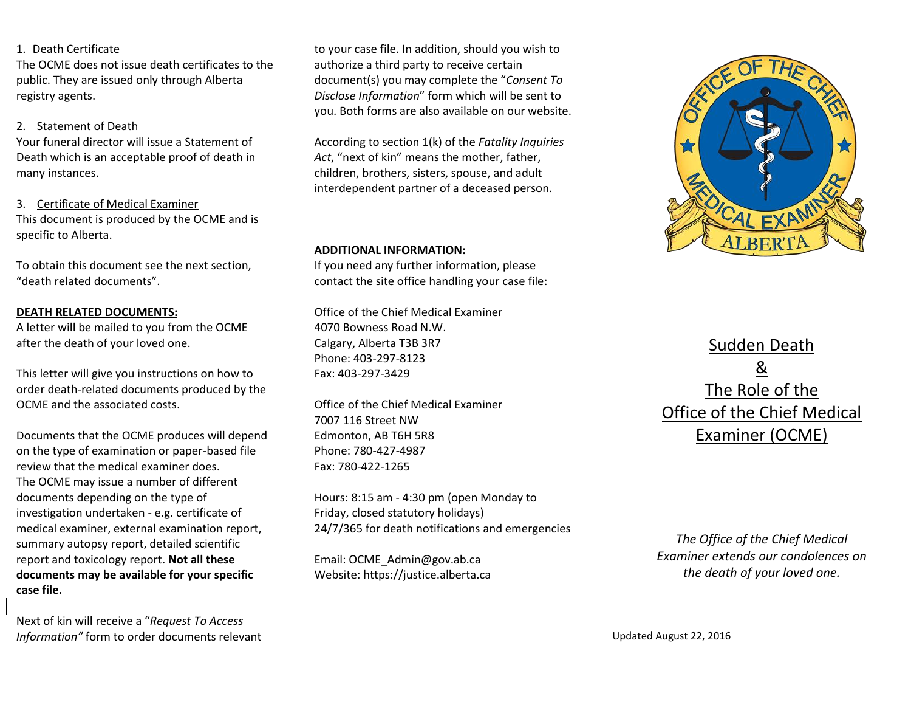#### 1. Death Certificate

The OCME does not issue death certificates to the public. They are issued only through Alberta registry agents.

### 2. Statement of Death

Your funeral director will issue a Statement of Death which is an acceptable proof of death in many instances.

3. Certificate of Medical Examiner This document is produced by the OCME and is specific to Alberta.

To obtain this document see the next section, "death related documents".

#### **DEATH RELATED DOCUMENTS:**

A letter will be mailed to you from the OCME after the death of your loved one.

This letter will give you instructions on how to order death-related documents produced by the OCME and the associated costs.

Documents that the OCME produces will depend on the type of examination or paper-based file review that the medical examiner does. The OCME may issue a number of different documents depending on the type of investigation undertaken - e.g. certificate of medical examiner, external examination report, summary autopsy report, detailed scientific report and toxicology report. **Not all these documents may be available for your specific case file.**

Next of kin will receive a "*Request To Access Information"* form to order documents relevant

to your case file. In addition, should you wish to authorize a third party to receive certain document(s) you may complete the "*Consent To Disclose Information*" form which will be sent to you. Both forms are also available on our website.

According to section 1(k) of the *Fatality Inquiries Act*, "next of kin" means the mother, father, children, brothers, sisters, spouse, and adult interdependent partner of a deceased person.

#### **ADDITIONAL INFORMATION:**

If you need any further information, please contact the site office handling your case file:

Office of the Chief Medical Examiner 4070 Bowness Road N.W. Calgary, Alberta T3B 3R7 Phone: 403-297-8123 Fax: 403-297-3429

Office of the Chief Medical Examiner 7007 116 Street NW Edmonton, AB T6H 5R8 Phone: 780-427-4987 Fax: 780-422-1265

Hours: 8:15 am - 4:30 pm (open Monday to Friday, closed statutory holidays) 24/7/365 for death notifications and emergencies

Email: OCME\_Admin@gov.ab.ca Website: https://justice.alberta.ca



Sudden Death & The Role of the Office of the Chief Medical Examiner (OCME)

*The Office of the Chief Medical Examiner extends our condolences on the death of your loved one.* 

Updated August 22, 2016